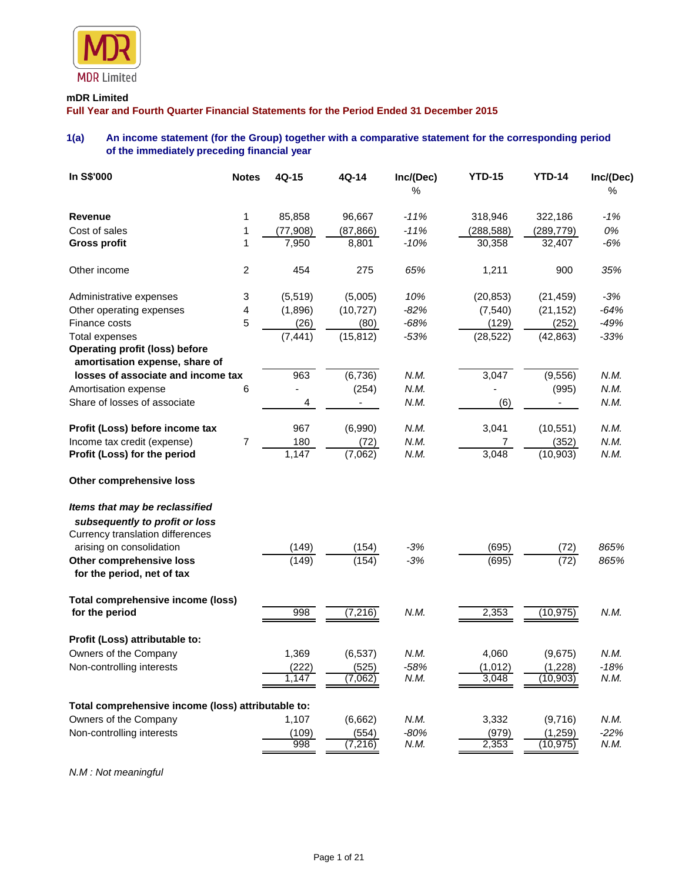

# **mDR Limited**

**Full Year and Fourth Quarter Financial Statements for the Period Ended 31 December 2015**

# **1(a) An income statement (for the Group) together with a comparative statement for the corresponding period of the immediately preceding financial year**

| In S\$'000                                                              | <b>Notes</b>   | 4Q-15     | 4Q-14     | Inc/(Dec)<br>℅ | <b>YTD-15</b> | <b>YTD-14</b> | Inc/(Dec)<br>% |
|-------------------------------------------------------------------------|----------------|-----------|-----------|----------------|---------------|---------------|----------------|
|                                                                         |                |           |           |                |               |               |                |
| <b>Revenue</b>                                                          | 1              | 85,858    | 96,667    | $-11%$         | 318,946       | 322,186       | $-1%$          |
| Cost of sales                                                           | 1              | (77, 908) | (87, 866) | $-11%$         | (288, 588)    | (289, 779)    | 0%             |
| <b>Gross profit</b>                                                     | 1              | 7,950     | 8,801     | $-10%$         | 30,358        | 32,407        | $-6%$          |
| Other income                                                            | $\overline{c}$ | 454       | 275       | 65%            | 1,211         | 900           | 35%            |
| Administrative expenses                                                 | 3              | (5, 519)  | (5,005)   | 10%            | (20, 853)     | (21, 459)     | $-3%$          |
| Other operating expenses                                                | 4              | (1,896)   | (10, 727) | $-82%$         | (7, 540)      | (21, 152)     | $-64%$         |
| Finance costs                                                           | 5              | (26)      | (80)      | $-68%$         | (129)         | (252)         | $-49%$         |
| <b>Total expenses</b>                                                   |                | (7, 441)  | (15, 812) | $-53%$         | (28, 522)     | (42, 863)     | $-33%$         |
| <b>Operating profit (loss) before</b><br>amortisation expense, share of |                |           |           |                |               |               |                |
| losses of associate and income tax                                      |                | 963       | (6, 736)  | N.M.           | 3,047         | (9, 556)      | N.M.           |
| Amortisation expense                                                    | 6              |           | (254)     | N.M.           |               | (995)         | N.M.           |
| Share of losses of associate                                            |                | 4         |           | N.M.           | (6)           |               | N.M.           |
| Profit (Loss) before income tax                                         |                | 967       | (6,990)   | N.M.           | 3,041         | (10, 551)     | N.M.           |
| Income tax credit (expense)                                             | 7              | 180       | (72)      | N.M.           | 7             | (352)         | N.M.           |
| Profit (Loss) for the period                                            |                | 1,147     | (7,062)   | N.M.           | 3,048         | (10, 903)     | N.M.           |
| Other comprehensive loss                                                |                |           |           |                |               |               |                |
| Items that may be reclassified                                          |                |           |           |                |               |               |                |
| subsequently to profit or loss                                          |                |           |           |                |               |               |                |
| Currency translation differences                                        |                |           |           |                |               |               |                |
| arising on consolidation                                                |                | (149)     | (154)     | $-3%$          | (695)         | (72)          | 865%           |
| Other comprehensive loss                                                |                | (149)     | (154)     | $-3%$          | (695)         | (72)          | 865%           |
| for the period, net of tax                                              |                |           |           |                |               |               |                |
| Total comprehensive income (loss)                                       |                |           |           |                |               |               |                |
| for the period                                                          |                | 998       | (7, 216)  | N.M.           | 2,353         | (10, 975)     | N.M.           |
| Profit (Loss) attributable to:                                          |                |           |           |                |               |               |                |
| Owners of the Company                                                   |                | 1,369     | (6, 537)  | N.M.           | 4,060         | (9,675)       | N.M.           |
| Non-controlling interests                                               |                | (222)     | (525)     | $-58%$         | (1,012)       | (1,228)       | $-18%$         |
|                                                                         |                | 1,147     | (7,062)   | N.M.           | 3,048         | (10, 903)     | N.M.           |
| Total comprehensive income (loss) attributable to:                      |                |           |           |                |               |               |                |
| Owners of the Company                                                   |                | 1,107     | (6,662)   | N.M.           | 3,332         | (9,716)       | N.M.           |
| Non-controlling interests                                               |                | (109)     | (554)     | $-80%$         | (979)         | (1, 259)      | $-22%$         |
|                                                                         |                | 998       | (7, 216)  | N.M.           | 2,353         | (10, 975)     | N.M.           |

*N.M : Not meaningful*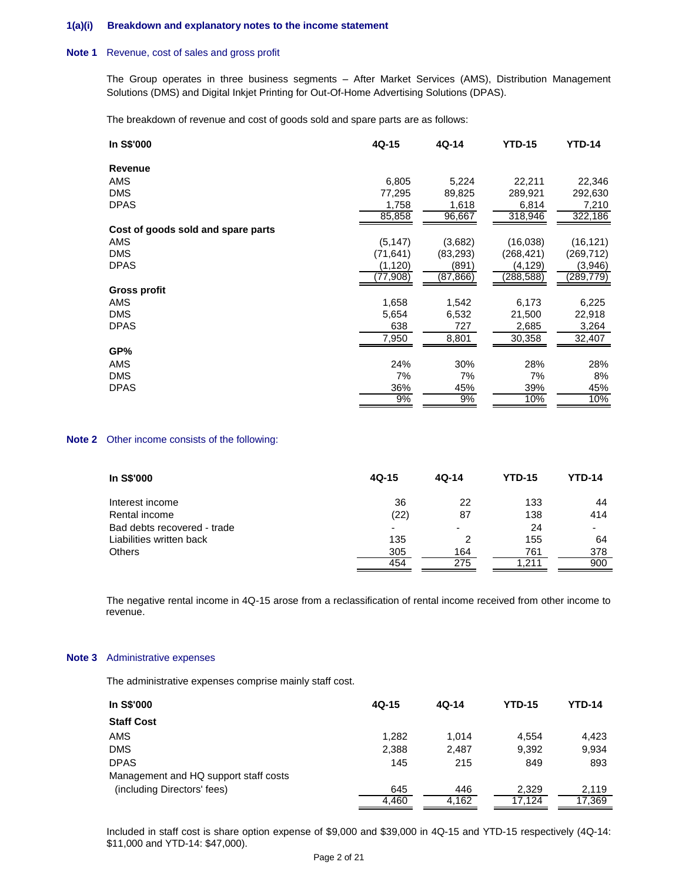### **1(a)(i) Breakdown and explanatory notes to the income statement**

### **Note 1** Revenue, cost of sales and gross profit

The Group operates in three business segments – After Market Services (AMS), Distribution Management Solutions (DMS) and Digital Inkjet Printing for Out-Of-Home Advertising Solutions (DPAS).

The breakdown of revenue and cost of goods sold and spare parts are as follows:

| In S\$'000                         | 4Q-15     | 4Q-14     | <b>YTD-15</b> | <b>YTD-14</b> |
|------------------------------------|-----------|-----------|---------------|---------------|
| <b>Revenue</b>                     |           |           |               |               |
| AMS                                | 6,805     | 5,224     | 22,211        | 22,346        |
| <b>DMS</b>                         | 77,295    | 89,825    | 289,921       | 292,630       |
| <b>DPAS</b>                        | 1,758     | 1,618     | 6,814         | 7,210         |
|                                    | 85,858    | 96,667    | 318,946       | 322,186       |
| Cost of goods sold and spare parts |           |           |               |               |
| AMS                                | (5, 147)  | (3,682)   | (16,038)      | (16, 121)     |
| <b>DMS</b>                         | (71, 641) | (83, 293) | (268, 421)    | (269, 712)    |
| <b>DPAS</b>                        | (1, 120)  | (891)     | (4,129)       | (3,946)       |
|                                    | (77,908)  | (87,866)  | (288,588)     | (289,779)     |
| <b>Gross profit</b>                |           |           |               |               |
| AMS                                | 1,658     | 1,542     | 6,173         | 6,225         |
| <b>DMS</b>                         | 5,654     | 6,532     | 21,500        | 22,918        |
| <b>DPAS</b>                        | 638       | 727       | 2,685         | 3,264         |
|                                    | 7,950     | 8,801     | 30,358        | 32,407        |
| GP%                                |           |           |               |               |
| AMS                                | 24%       | 30%       | 28%           | 28%           |
| <b>DMS</b>                         | 7%        | 7%        | 7%            | 8%            |
| <b>DPAS</b>                        | 36%       | 45%       | 39%           | 45%           |
|                                    | 9%        | 9%        | 10%           | 10%           |

### **Note 2** Other income consists of the following:

| In S\$'000                  | $4Q-15$ | $4Q-14$ | <b>YTD-15</b> | YTD-14 |
|-----------------------------|---------|---------|---------------|--------|
| Interest income             | 36      | 22      | 133           | 44     |
| Rental income               | (22)    | 87      | 138           | 414    |
| Bad debts recovered - trade | ۰       | -       | 24            |        |
| Liabilities written back    | 135     | 2       | 155           | 64     |
| <b>Others</b>               | 305     | 164     | 761           | 378    |
|                             | 454     | 275     | .211          | 900    |

The negative rental income in 4Q-15 arose from a reclassification of rental income received from other income to revenue.

### **Note 3** Administrative expenses

The administrative expenses comprise mainly staff cost.

| In S\$'000                            | $4Q-15$ | $4Q-14$ | <b>YTD-15</b> | YTD-14 |
|---------------------------------------|---------|---------|---------------|--------|
| <b>Staff Cost</b>                     |         |         |               |        |
| <b>AMS</b>                            | 1.282   | 1.014   | 4.554         | 4.423  |
| <b>DMS</b>                            | 2,388   | 2.487   | 9,392         | 9,934  |
| <b>DPAS</b>                           | 145     | 215     | 849           | 893    |
| Management and HQ support staff costs |         |         |               |        |
| (including Directors' fees)           | 645     | 446     | 2,329         | 2.119  |
|                                       | 4.460   | 4.162   | 17.124        | 17.369 |

Included in staff cost is share option expense of \$9,000 and \$39,000 in 4Q-15 and YTD-15 respectively (4Q-14: \$11,000 and YTD-14: \$47,000).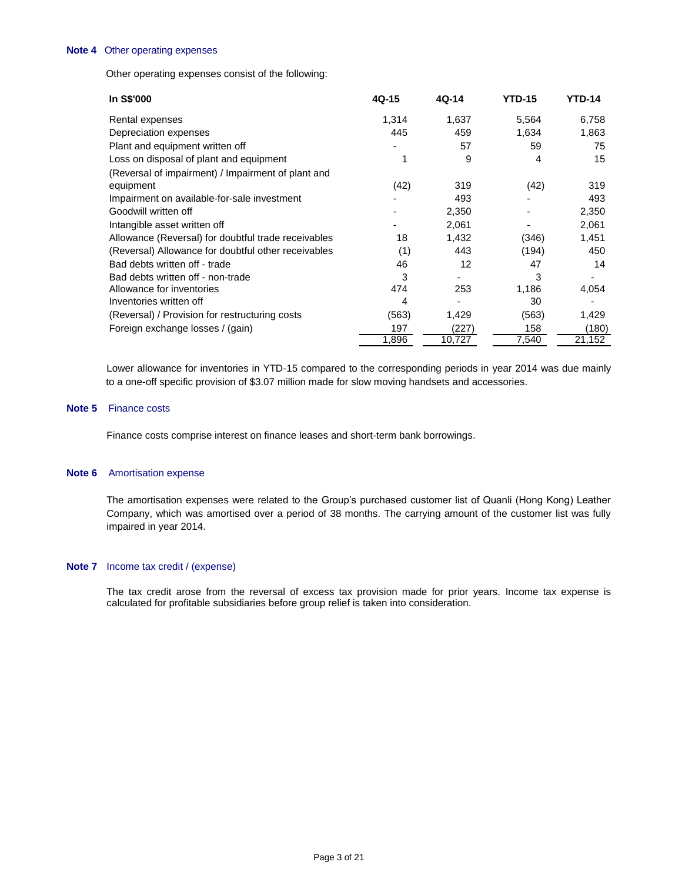#### **Note 4** Other operating expenses

Other operating expenses consist of the following:

| In S\$'000                                          | 4Q-15 | 4Q-14  | <b>YTD-15</b> | <b>YTD-14</b> |
|-----------------------------------------------------|-------|--------|---------------|---------------|
| Rental expenses                                     | 1,314 | 1,637  | 5,564         | 6,758         |
| Depreciation expenses                               | 445   | 459    | 1,634         | 1,863         |
| Plant and equipment written off                     |       | 57     | 59            | 75            |
| Loss on disposal of plant and equipment             |       | 9      | 4             | 15            |
| (Reversal of impairment) / Impairment of plant and  |       |        |               |               |
| equipment                                           | (42)  | 319    | (42)          | 319           |
| Impairment on available-for-sale investment         |       | 493    |               | 493           |
| Goodwill written off                                |       | 2,350  |               | 2,350         |
| Intangible asset written off                        |       | 2,061  |               | 2,061         |
| Allowance (Reversal) for doubtful trade receivables | 18    | 1,432  | (346)         | 1,451         |
| (Reversal) Allowance for doubtful other receivables | (1)   | 443    | (194)         | 450           |
| Bad debts written off - trade                       | 46    | 12     | 47            | 14            |
| Bad debts written off - non-trade                   | 3     |        | 3             |               |
| Allowance for inventories                           | 474   | 253    | 1,186         | 4,054         |
| Inventories written off                             | 4     |        | 30            |               |
| (Reversal) / Provision for restructuring costs      | (563) | 1,429  | (563)         | 1,429         |
| Foreign exchange losses / (gain)                    | 197   | (227)  | 158           | (180)         |
|                                                     | 1,896 | 10,727 | 7,540         | 21,152        |

Lower allowance for inventories in YTD-15 compared to the corresponding periods in year 2014 was due mainly to a one-off specific provision of \$3.07 million made for slow moving handsets and accessories.

#### **Note 5** Finance costs

Finance costs comprise interest on finance leases and short-term bank borrowings.

### **Note 6** Amortisation expense

The amortisation expenses were related to the Group's purchased customer list of Quanli (Hong Kong) Leather Company, which was amortised over a period of 38 months. The carrying amount of the customer list was fully impaired in year 2014.

### **Note 7** Income tax credit / (expense)

The tax credit arose from the reversal of excess tax provision made for prior years. Income tax expense is calculated for profitable subsidiaries before group relief is taken into consideration.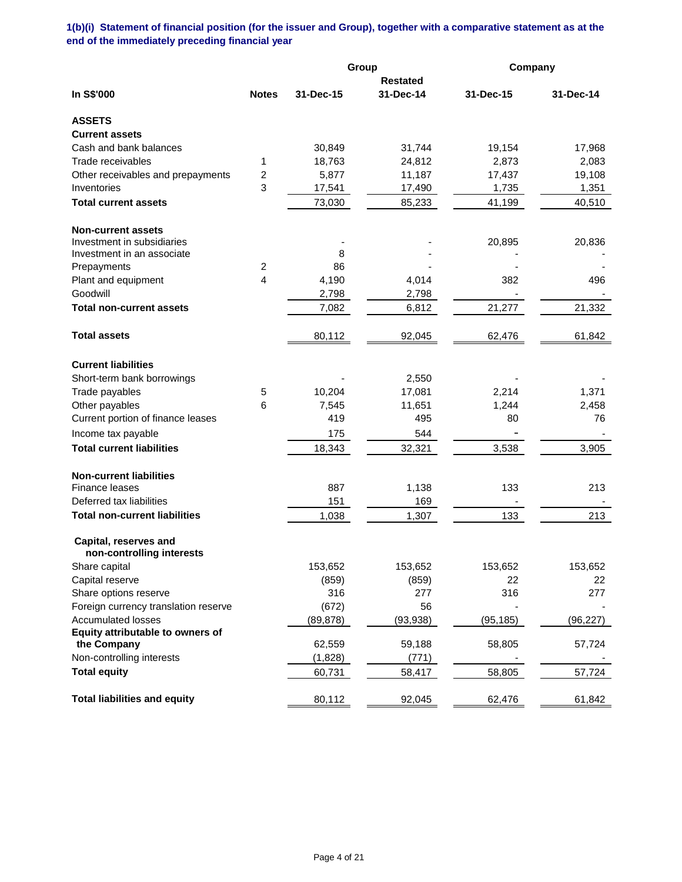**1(b)(i) Statement of financial position (for the issuer and Group), together with a comparative statement as at the end of the immediately preceding financial year**

|                                                    |                |           | Group           | Company   |           |
|----------------------------------------------------|----------------|-----------|-----------------|-----------|-----------|
|                                                    |                |           | <b>Restated</b> |           |           |
| In S\$'000                                         | <b>Notes</b>   | 31-Dec-15 | 31-Dec-14       | 31-Dec-15 | 31-Dec-14 |
| <b>ASSETS</b>                                      |                |           |                 |           |           |
| <b>Current assets</b>                              |                |           |                 |           |           |
| Cash and bank balances                             |                | 30,849    | 31,744          | 19,154    | 17,968    |
| Trade receivables                                  | 1              | 18,763    | 24,812          | 2,873     | 2,083     |
| Other receivables and prepayments                  | 2              | 5,877     | 11,187          | 17,437    | 19,108    |
| Inventories                                        | 3              | 17,541    | 17,490          | 1,735     | 1,351     |
| <b>Total current assets</b>                        |                | 73,030    | 85,233          | 41,199    | 40,510    |
| <b>Non-current assets</b>                          |                |           |                 |           |           |
| Investment in subsidiaries                         |                |           |                 | 20,895    | 20,836    |
| Investment in an associate                         |                | 8         |                 |           |           |
| Prepayments                                        | $\overline{c}$ | 86        |                 |           |           |
| Plant and equipment                                | 4              | 4,190     | 4,014           | 382       | 496       |
| Goodwill                                           |                | 2,798     | 2,798           |           |           |
| <b>Total non-current assets</b>                    |                | 7,082     | 6,812           | 21,277    | 21,332    |
| <b>Total assets</b>                                |                | 80,112    | 92,045          | 62,476    | 61,842    |
| <b>Current liabilities</b>                         |                |           |                 |           |           |
| Short-term bank borrowings                         |                |           | 2,550           |           |           |
| Trade payables                                     | 5              | 10,204    | 17,081          | 2,214     | 1,371     |
| Other payables                                     | 6              | 7,545     | 11,651          | 1,244     | 2,458     |
| Current portion of finance leases                  |                | 419       | 495             | 80        | 76        |
| Income tax payable                                 |                | 175       | 544             |           |           |
| <b>Total current liabilities</b>                   |                | 18,343    | 32,321          | 3,538     | 3,905     |
| <b>Non-current liabilities</b>                     |                |           |                 |           |           |
| Finance leases                                     |                | 887       | 1,138           | 133       | 213       |
| Deferred tax liabilities                           |                | 151       | 169             |           |           |
| <b>Total non-current liabilities</b>               |                | 1,038     | 1,307           | 133       | 213       |
| Capital, reserves and<br>non-controlling interests |                |           |                 |           |           |
| Share capital                                      |                | 153,652   | 153,652         | 153,652   | 153,652   |
| Capital reserve                                    |                | (859)     | (859)           | 22        | 22        |
| Share options reserve                              |                | 316       | 277             | 316       | 277       |
| Foreign currency translation reserve               |                | (672)     | 56              |           |           |
| <b>Accumulated losses</b>                          |                | (89, 878) | (93, 938)       | (95, 185) | (96, 227) |
| Equity attributable to owners of                   |                |           |                 |           |           |
| the Company                                        |                | 62,559    | 59,188          | 58,805    | 57,724    |
| Non-controlling interests                          |                | (1,828)   | (771)           |           |           |
| <b>Total equity</b>                                |                | 60,731    | 58,417          | 58,805    | 57,724    |
| <b>Total liabilities and equity</b>                |                | 80,112    | 92,045          | 62,476    | 61,842    |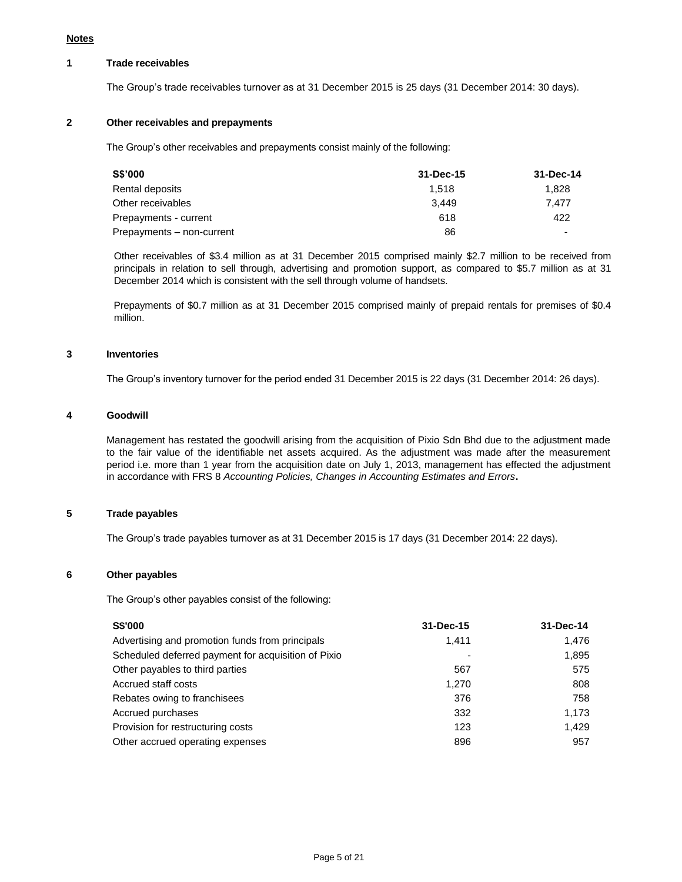# **1 Trade receivables**

The Group's trade receivables turnover as at 31 December 2015 is 25 days (31 December 2014: 30 days).

# **2 Other receivables and prepayments**

The Group's other receivables and prepayments consist mainly of the following:

| S\$'000                   | 31-Dec-15 | 31-Dec-14 |
|---------------------------|-----------|-----------|
| Rental deposits           | 1.518     | 1.828     |
| Other receivables         | 3.449     | 7.477     |
| Prepayments - current     | 618       | 422       |
| Prepayments - non-current | 86        |           |

Other receivables of \$3.4 million as at 31 December 2015 comprised mainly \$2.7 million to be received from principals in relation to sell through, advertising and promotion support, as compared to \$5.7 million as at 31 December 2014 which is consistent with the sell through volume of handsets.

Prepayments of \$0.7 million as at 31 December 2015 comprised mainly of prepaid rentals for premises of \$0.4 million.

### **3 Inventories**

The Group's inventory turnover for the period ended 31 December 2015 is 22 days (31 December 2014: 26 days).

### **4 Goodwill**

Management has restated the goodwill arising from the acquisition of Pixio Sdn Bhd due to the adjustment made to the fair value of the identifiable net assets acquired. As the adjustment was made after the measurement period i.e. more than 1 year from the acquisition date on July 1, 2013, management has effected the adjustment in accordance with FRS 8 *Accounting Policies, Changes in Accounting Estimates and Errors***.**

# **5 Trade payables**

The Group's trade payables turnover as at 31 December 2015 is 17 days (31 December 2014: 22 days).

### **6 Other payables**

The Group's other payables consist of the following:

| <b>S\$'000</b>                                      | 31-Dec-15 | 31-Dec-14 |
|-----------------------------------------------------|-----------|-----------|
| Advertising and promotion funds from principals     | 1.411     | 1.476     |
| Scheduled deferred payment for acquisition of Pixio |           | 1,895     |
| Other payables to third parties                     | 567       | 575       |
| Accrued staff costs                                 | 1.270     | 808       |
| Rebates owing to franchisees                        | 376       | 758       |
| Accrued purchases                                   | 332       | 1,173     |
| Provision for restructuring costs                   | 123       | 1.429     |
| Other accrued operating expenses                    | 896       | 957       |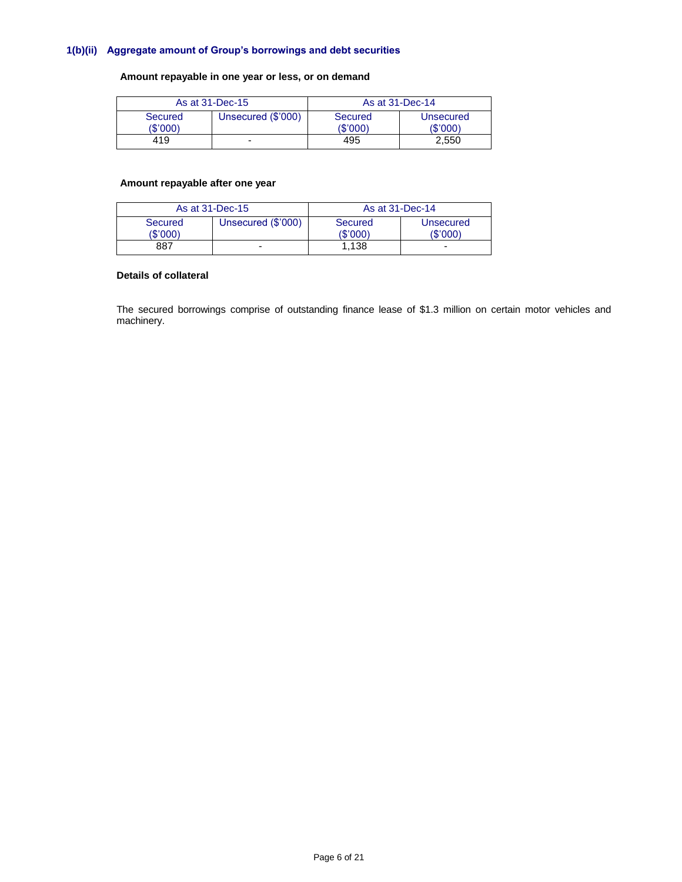# **1(b)(ii) Aggregate amount of Group's borrowings and debt securities**

# **Amount repayable in one year or less, or on demand**

| As at 31-Dec-15     |                    | As at 31-Dec-14     |                       |  |
|---------------------|--------------------|---------------------|-----------------------|--|
| Secured<br>(\$'000) | Unsecured (\$'000) | Secured<br>(\$'000) | Unsecured<br>(\$'000) |  |
| 419                 |                    | 495                 | 2.550                 |  |

# **Amount repayable after one year**

| As at 31-Dec-15     |                    | As at 31-Dec-14     |                      |  |
|---------------------|--------------------|---------------------|----------------------|--|
| Secured<br>(\$'000) | Unsecured (\$'000) | Secured<br>(\$'000) | Unsecured<br>(S'000) |  |
| 887                 |                    | 1.138               | -                    |  |

# **Details of collateral**

The secured borrowings comprise of outstanding finance lease of \$1.3 million on certain motor vehicles and machinery.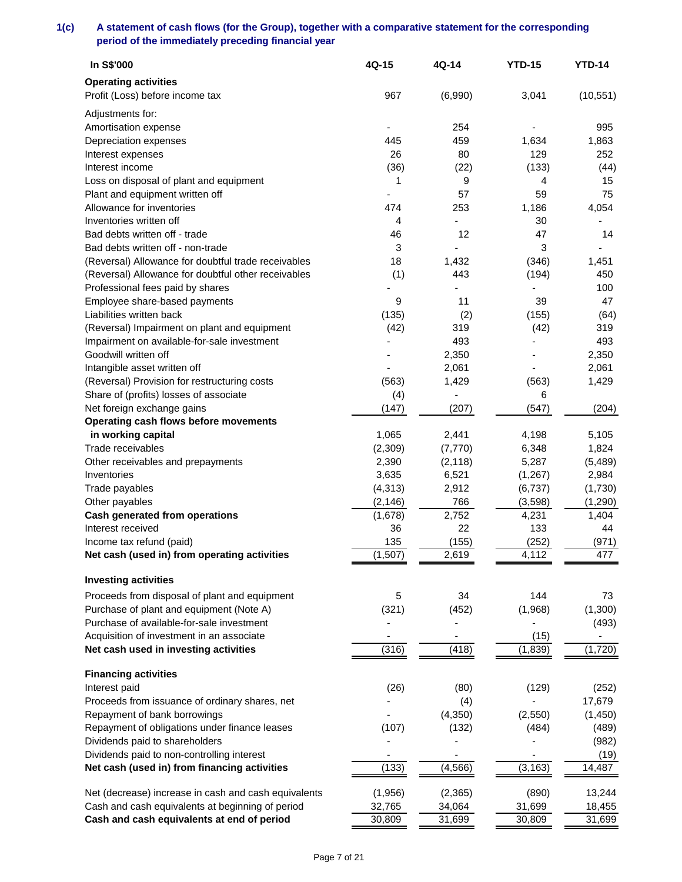# **1(c) A statement of cash flows (for the Group), together with a comparative statement for the corresponding period of the immediately preceding financial year**

| <b>Operating activities</b><br>Profit (Loss) before income tax<br>967<br>(6,990)<br>3,041<br>(10, 551)<br>Adjustments for:<br>Amortisation expense<br>254<br>995<br>445<br>459<br>1,634<br>1,863<br>Depreciation expenses<br>26<br>129<br>Interest expenses<br>80<br>252<br>Interest income<br>(36)<br>(22)<br>(133)<br>(44)<br>Loss on disposal of plant and equipment<br>1<br>9<br>15<br>4<br>75<br>Plant and equipment written off<br>57<br>59<br>Allowance for inventories<br>474<br>1,186<br>253<br>4,054<br>Inventories written off<br>30<br>4<br>12<br>47<br>Bad debts written off - trade<br>46<br>14<br>3<br>Bad debts written off - non-trade<br>3<br>(Reversal) Allowance for doubtful trade receivables<br>18<br>1,432<br>(346)<br>1,451<br>(1)<br>(194)<br>(Reversal) Allowance for doubtful other receivables<br>443<br>450<br>Professional fees paid by shares<br>100<br>Employee share-based payments<br>11<br>39<br>9<br>47<br>Liabilities written back<br>(135)<br>(2)<br>(155)<br>(64) |
|-----------------------------------------------------------------------------------------------------------------------------------------------------------------------------------------------------------------------------------------------------------------------------------------------------------------------------------------------------------------------------------------------------------------------------------------------------------------------------------------------------------------------------------------------------------------------------------------------------------------------------------------------------------------------------------------------------------------------------------------------------------------------------------------------------------------------------------------------------------------------------------------------------------------------------------------------------------------------------------------------------------|
|                                                                                                                                                                                                                                                                                                                                                                                                                                                                                                                                                                                                                                                                                                                                                                                                                                                                                                                                                                                                           |
|                                                                                                                                                                                                                                                                                                                                                                                                                                                                                                                                                                                                                                                                                                                                                                                                                                                                                                                                                                                                           |
|                                                                                                                                                                                                                                                                                                                                                                                                                                                                                                                                                                                                                                                                                                                                                                                                                                                                                                                                                                                                           |
|                                                                                                                                                                                                                                                                                                                                                                                                                                                                                                                                                                                                                                                                                                                                                                                                                                                                                                                                                                                                           |
|                                                                                                                                                                                                                                                                                                                                                                                                                                                                                                                                                                                                                                                                                                                                                                                                                                                                                                                                                                                                           |
|                                                                                                                                                                                                                                                                                                                                                                                                                                                                                                                                                                                                                                                                                                                                                                                                                                                                                                                                                                                                           |
|                                                                                                                                                                                                                                                                                                                                                                                                                                                                                                                                                                                                                                                                                                                                                                                                                                                                                                                                                                                                           |
|                                                                                                                                                                                                                                                                                                                                                                                                                                                                                                                                                                                                                                                                                                                                                                                                                                                                                                                                                                                                           |
|                                                                                                                                                                                                                                                                                                                                                                                                                                                                                                                                                                                                                                                                                                                                                                                                                                                                                                                                                                                                           |
|                                                                                                                                                                                                                                                                                                                                                                                                                                                                                                                                                                                                                                                                                                                                                                                                                                                                                                                                                                                                           |
|                                                                                                                                                                                                                                                                                                                                                                                                                                                                                                                                                                                                                                                                                                                                                                                                                                                                                                                                                                                                           |
|                                                                                                                                                                                                                                                                                                                                                                                                                                                                                                                                                                                                                                                                                                                                                                                                                                                                                                                                                                                                           |
|                                                                                                                                                                                                                                                                                                                                                                                                                                                                                                                                                                                                                                                                                                                                                                                                                                                                                                                                                                                                           |
|                                                                                                                                                                                                                                                                                                                                                                                                                                                                                                                                                                                                                                                                                                                                                                                                                                                                                                                                                                                                           |
|                                                                                                                                                                                                                                                                                                                                                                                                                                                                                                                                                                                                                                                                                                                                                                                                                                                                                                                                                                                                           |
|                                                                                                                                                                                                                                                                                                                                                                                                                                                                                                                                                                                                                                                                                                                                                                                                                                                                                                                                                                                                           |
|                                                                                                                                                                                                                                                                                                                                                                                                                                                                                                                                                                                                                                                                                                                                                                                                                                                                                                                                                                                                           |
|                                                                                                                                                                                                                                                                                                                                                                                                                                                                                                                                                                                                                                                                                                                                                                                                                                                                                                                                                                                                           |
| (Reversal) Impairment on plant and equipment<br>(42)<br>319<br>(42)<br>319                                                                                                                                                                                                                                                                                                                                                                                                                                                                                                                                                                                                                                                                                                                                                                                                                                                                                                                                |
| 493<br>493<br>Impairment on available-for-sale investment                                                                                                                                                                                                                                                                                                                                                                                                                                                                                                                                                                                                                                                                                                                                                                                                                                                                                                                                                 |
| Goodwill written off<br>2,350<br>2,350                                                                                                                                                                                                                                                                                                                                                                                                                                                                                                                                                                                                                                                                                                                                                                                                                                                                                                                                                                    |
| 2,061<br>Intangible asset written off<br>2,061                                                                                                                                                                                                                                                                                                                                                                                                                                                                                                                                                                                                                                                                                                                                                                                                                                                                                                                                                            |
| (Reversal) Provision for restructuring costs<br>(563)<br>1,429<br>(563)<br>1,429                                                                                                                                                                                                                                                                                                                                                                                                                                                                                                                                                                                                                                                                                                                                                                                                                                                                                                                          |
| Share of (profits) losses of associate<br>(4)<br>6                                                                                                                                                                                                                                                                                                                                                                                                                                                                                                                                                                                                                                                                                                                                                                                                                                                                                                                                                        |
| Net foreign exchange gains<br>(147)<br>(207)<br>(547)<br>(204)                                                                                                                                                                                                                                                                                                                                                                                                                                                                                                                                                                                                                                                                                                                                                                                                                                                                                                                                            |
| Operating cash flows before movements                                                                                                                                                                                                                                                                                                                                                                                                                                                                                                                                                                                                                                                                                                                                                                                                                                                                                                                                                                     |
| in working capital<br>1,065<br>5,105<br>2,441<br>4,198                                                                                                                                                                                                                                                                                                                                                                                                                                                                                                                                                                                                                                                                                                                                                                                                                                                                                                                                                    |
| Trade receivables<br>1,824<br>(2,309)<br>(7, 770)<br>6,348                                                                                                                                                                                                                                                                                                                                                                                                                                                                                                                                                                                                                                                                                                                                                                                                                                                                                                                                                |
| Other receivables and prepayments<br>2,390<br>(2, 118)<br>5,287<br>(5,489)                                                                                                                                                                                                                                                                                                                                                                                                                                                                                                                                                                                                                                                                                                                                                                                                                                                                                                                                |
| 6,521<br>2,984<br>3,635<br>(1,267)<br>Inventories                                                                                                                                                                                                                                                                                                                                                                                                                                                                                                                                                                                                                                                                                                                                                                                                                                                                                                                                                         |
| (1,730)<br>(4, 313)<br>2,912<br>(6,737)<br>Trade payables                                                                                                                                                                                                                                                                                                                                                                                                                                                                                                                                                                                                                                                                                                                                                                                                                                                                                                                                                 |
| (2, 146)<br>766<br>(3,598)<br>(1,290)<br>Other payables                                                                                                                                                                                                                                                                                                                                                                                                                                                                                                                                                                                                                                                                                                                                                                                                                                                                                                                                                   |
| 2,752<br>4,231<br>1,404<br><b>Cash generated from operations</b><br>(1,678)                                                                                                                                                                                                                                                                                                                                                                                                                                                                                                                                                                                                                                                                                                                                                                                                                                                                                                                               |
| 36<br>133<br>Interest received<br>22<br>44                                                                                                                                                                                                                                                                                                                                                                                                                                                                                                                                                                                                                                                                                                                                                                                                                                                                                                                                                                |
| 135<br>Income tax refund (paid)<br>(155)<br>(252)<br>(971)                                                                                                                                                                                                                                                                                                                                                                                                                                                                                                                                                                                                                                                                                                                                                                                                                                                                                                                                                |
| Net cash (used in) from operating activities<br>(1,507)<br>2,619<br>4,112<br>477                                                                                                                                                                                                                                                                                                                                                                                                                                                                                                                                                                                                                                                                                                                                                                                                                                                                                                                          |
| <b>Investing activities</b>                                                                                                                                                                                                                                                                                                                                                                                                                                                                                                                                                                                                                                                                                                                                                                                                                                                                                                                                                                               |
| 34<br>144<br>73<br>Proceeds from disposal of plant and equipment<br>5                                                                                                                                                                                                                                                                                                                                                                                                                                                                                                                                                                                                                                                                                                                                                                                                                                                                                                                                     |
| Purchase of plant and equipment (Note A)<br>(321)<br>(452)<br>(1,968)<br>(1,300)                                                                                                                                                                                                                                                                                                                                                                                                                                                                                                                                                                                                                                                                                                                                                                                                                                                                                                                          |
| Purchase of available-for-sale investment<br>(493)                                                                                                                                                                                                                                                                                                                                                                                                                                                                                                                                                                                                                                                                                                                                                                                                                                                                                                                                                        |
| Acquisition of investment in an associate<br>(15)<br>۰                                                                                                                                                                                                                                                                                                                                                                                                                                                                                                                                                                                                                                                                                                                                                                                                                                                                                                                                                    |
| (316)<br>(418)<br>(1, 720)<br>(1,839)<br>Net cash used in investing activities                                                                                                                                                                                                                                                                                                                                                                                                                                                                                                                                                                                                                                                                                                                                                                                                                                                                                                                            |
| <b>Financing activities</b>                                                                                                                                                                                                                                                                                                                                                                                                                                                                                                                                                                                                                                                                                                                                                                                                                                                                                                                                                                               |
| (26)<br>(129)<br>Interest paid<br>(80)<br>(252)                                                                                                                                                                                                                                                                                                                                                                                                                                                                                                                                                                                                                                                                                                                                                                                                                                                                                                                                                           |
| 17,679<br>Proceeds from issuance of ordinary shares, net<br>(4)                                                                                                                                                                                                                                                                                                                                                                                                                                                                                                                                                                                                                                                                                                                                                                                                                                                                                                                                           |
| Repayment of bank borrowings<br>(4, 350)<br>(2,550)<br>(1, 450)                                                                                                                                                                                                                                                                                                                                                                                                                                                                                                                                                                                                                                                                                                                                                                                                                                                                                                                                           |
| Repayment of obligations under finance leases<br>(107)<br>(132)<br>(484)<br>(489)                                                                                                                                                                                                                                                                                                                                                                                                                                                                                                                                                                                                                                                                                                                                                                                                                                                                                                                         |
| Dividends paid to shareholders<br>(982)                                                                                                                                                                                                                                                                                                                                                                                                                                                                                                                                                                                                                                                                                                                                                                                                                                                                                                                                                                   |
| Dividends paid to non-controlling interest<br>(19)                                                                                                                                                                                                                                                                                                                                                                                                                                                                                                                                                                                                                                                                                                                                                                                                                                                                                                                                                        |
| (133)<br>Net cash (used in) from financing activities<br>(4, 566)<br>(3, 163)<br>14,487                                                                                                                                                                                                                                                                                                                                                                                                                                                                                                                                                                                                                                                                                                                                                                                                                                                                                                                   |
| Net (decrease) increase in cash and cash equivalents<br>(1,956)<br>(2, 365)<br>(890)<br>13,244                                                                                                                                                                                                                                                                                                                                                                                                                                                                                                                                                                                                                                                                                                                                                                                                                                                                                                            |
| Cash and cash equivalents at beginning of period<br>32,765<br>34,064<br>31,699<br>18,455                                                                                                                                                                                                                                                                                                                                                                                                                                                                                                                                                                                                                                                                                                                                                                                                                                                                                                                  |
| Cash and cash equivalents at end of period<br>30,809<br>31,699<br>30,809<br>31,699                                                                                                                                                                                                                                                                                                                                                                                                                                                                                                                                                                                                                                                                                                                                                                                                                                                                                                                        |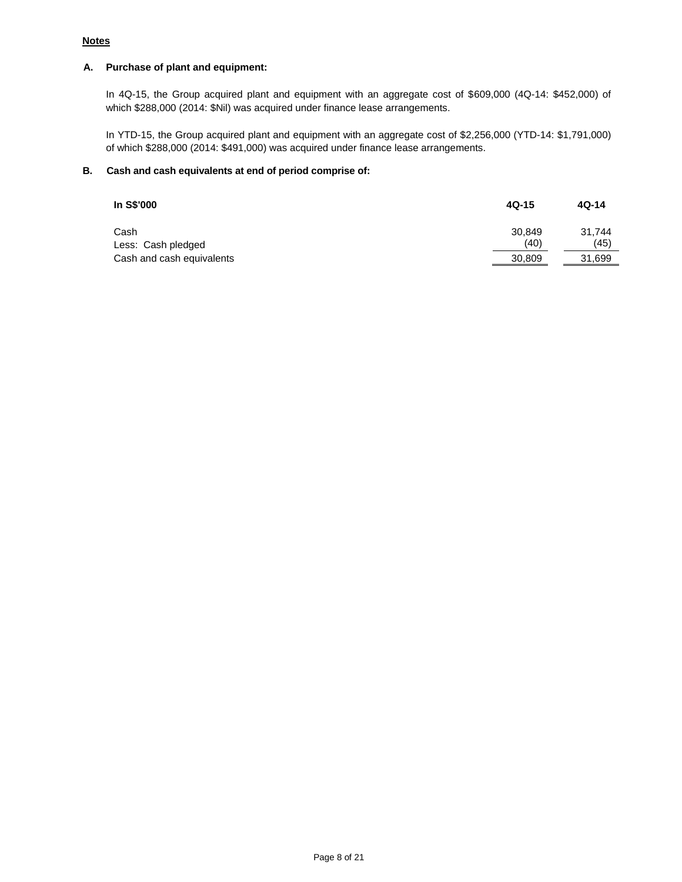# **Notes**

# **A. Purchase of plant and equipment:**

In 4Q-15, the Group acquired plant and equipment with an aggregate cost of \$609,000 (4Q-14: \$452,000) of which \$288,000 (2014: \$Nil) was acquired under finance lease arrangements.

In YTD-15, the Group acquired plant and equipment with an aggregate cost of \$2,256,000 (YTD-14: \$1,791,000) of which \$288,000 (2014: \$491,000) was acquired under finance lease arrangements.

# **B. Cash and cash equivalents at end of period comprise of:**

| In S\$'000                 | $4Q-15$        | $4Q-14$        |
|----------------------------|----------------|----------------|
| Cash<br>Less: Cash pledged | 30.849<br>(40) | 31.744<br>(45) |
| Cash and cash equivalents  | 30.809         | 31,699         |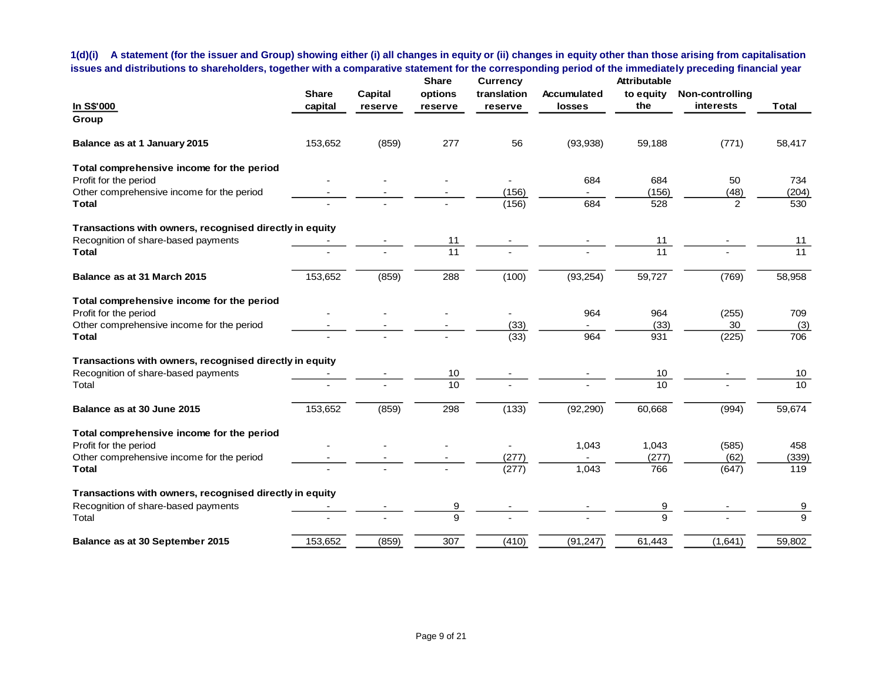**1(d)(i) A statement (for the issuer and Group) showing either (i) all changes in equity or (ii) changes in equity other than those arising from capitalisation issues and distributions to shareholders, together with a comparative statement for the corresponding period of the immediately preceding financial year**

|                                                         |              |                | <b>Share</b> | <b>Currency</b> |             | Attributable     |                 |              |
|---------------------------------------------------------|--------------|----------------|--------------|-----------------|-------------|------------------|-----------------|--------------|
|                                                         | <b>Share</b> | <b>Capital</b> | options      | translation     | Accumulated | to equity        | Non-controlling |              |
| In S\$'000                                              | capital      | reserve        | reserve      | reserve         | losses      | the              | interests       | <b>Total</b> |
| Group                                                   |              |                |              |                 |             |                  |                 |              |
| Balance as at 1 January 2015                            | 153,652      | (859)          | 277          | 56              | (93, 938)   | 59,188           | (771)           | 58,417       |
| Total comprehensive income for the period               |              |                |              |                 |             |                  |                 |              |
| Profit for the period                                   |              |                |              |                 | 684         | 684              | 50              | 734          |
| Other comprehensive income for the period               |              |                |              | (156)           |             | (156)            | (48)            | (204)        |
| <b>Total</b>                                            |              |                |              | (156)           | 684         | 528              | $\overline{2}$  | 530          |
| Transactions with owners, recognised directly in equity |              |                |              |                 |             |                  |                 |              |
| Recognition of share-based payments                     |              |                | 11           |                 |             | 11               |                 | 11           |
| <b>Total</b>                                            |              |                | 11           |                 |             | 11               |                 | 11           |
| Balance as at 31 March 2015                             | 153,652      | (859)          | 288          | (100)           | (93, 254)   | 59,727           | (769)           | 58,958       |
| Total comprehensive income for the period               |              |                |              |                 |             |                  |                 |              |
| Profit for the period                                   |              |                |              |                 | 964         | 964              | (255)           | 709          |
| Other comprehensive income for the period               |              |                |              | (33)            |             | (33)             | 30              | (3)          |
| <b>Total</b>                                            |              |                |              | (33)            | 964         | 931              | (225)           | 706          |
| Transactions with owners, recognised directly in equity |              |                |              |                 |             |                  |                 |              |
| Recognition of share-based payments                     |              |                | 10           |                 |             | 10               |                 | 10           |
| Total                                                   |              |                | 10           |                 |             | 10 <sup>10</sup> |                 | 10           |
| Balance as at 30 June 2015                              | 153,652      | (859)          | 298          | (133)           | (92, 290)   | 60,668           | (994)           | 59,674       |
| Total comprehensive income for the period               |              |                |              |                 |             |                  |                 |              |
| Profit for the period                                   |              |                |              |                 | 1,043       | 1,043            | (585)           | 458          |
| Other comprehensive income for the period               |              |                |              | (277)           |             | (277)            | (62)            | (339)        |
| <b>Total</b>                                            |              |                |              | (277)           | 1,043       | 766              | (647)           | 119          |
| Transactions with owners, recognised directly in equity |              |                |              |                 |             |                  |                 |              |
| Recognition of share-based payments                     |              |                | 9            |                 |             | 9                |                 | 9            |
| Total                                                   |              |                | 9            |                 |             | 9                |                 | 9            |
| Balance as at 30 September 2015                         | 153,652      | (859)          | 307          | (410)           | (91, 247)   | 61,443           | (1,641)         | 59,802       |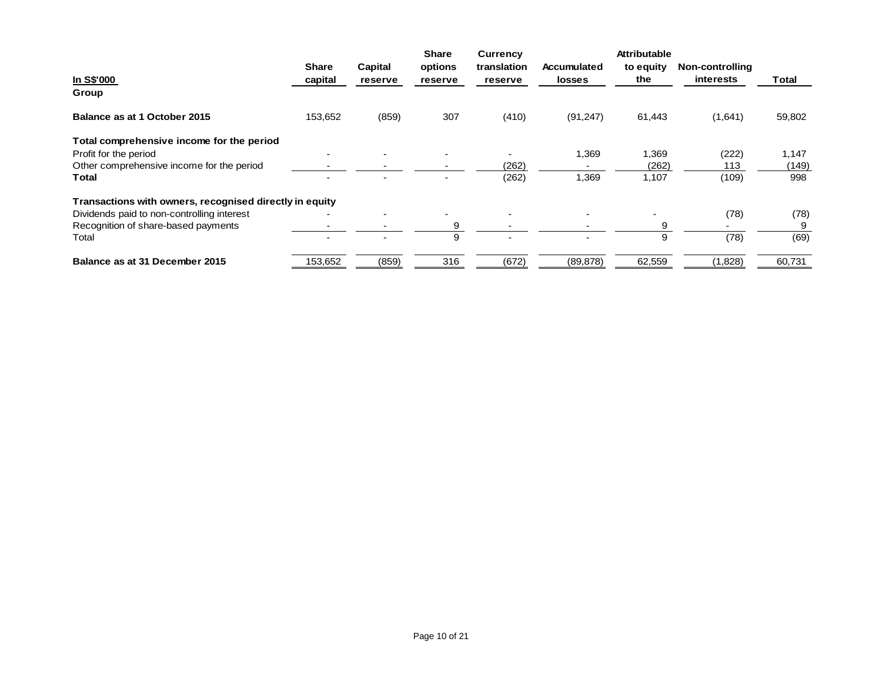|                                                         |              |         | <b>Share</b> | <b>Currency</b> |                          | Attributable |                  |        |
|---------------------------------------------------------|--------------|---------|--------------|-----------------|--------------------------|--------------|------------------|--------|
|                                                         | <b>Share</b> | Capital | options      | translation     | Accumulated              | to equity    | Non-controlling  |        |
| In S\$'000                                              | capital      | reserve | reserve      | reserve         | <b>losses</b>            | the          | <b>interests</b> | Total  |
| Group                                                   |              |         |              |                 |                          |              |                  |        |
| Balance as at 1 October 2015                            | 153,652      | (859)   | 307          | (410)           | (91, 247)                | 61,443       | (1,641)          | 59,802 |
| Total comprehensive income for the period               |              |         |              |                 |                          |              |                  |        |
| Profit for the period                                   |              |         |              |                 | 1,369                    | 1,369        | (222)            | 1,147  |
| Other comprehensive income for the period               |              |         |              | (262)           |                          | (262)        | 113              | (149)  |
| <b>Total</b>                                            |              |         |              | (262)           | 1,369                    | 1,107        | (109)            | 998    |
| Transactions with owners, recognised directly in equity |              |         |              |                 |                          |              |                  |        |
| Dividends paid to non-controlling interest              |              |         |              |                 |                          |              | (78)             | (78)   |
| Recognition of share-based payments                     |              |         | 9            |                 |                          | 9            |                  | 9      |
| Total                                                   |              |         | 9            |                 | $\overline{\phantom{0}}$ | 9            | (78)             | (69)   |
| Balance as at 31 December 2015                          | 153,652      | (859)   | 316          | (672)           | (89, 878)                | 62,559       | (1,828)          | 60,731 |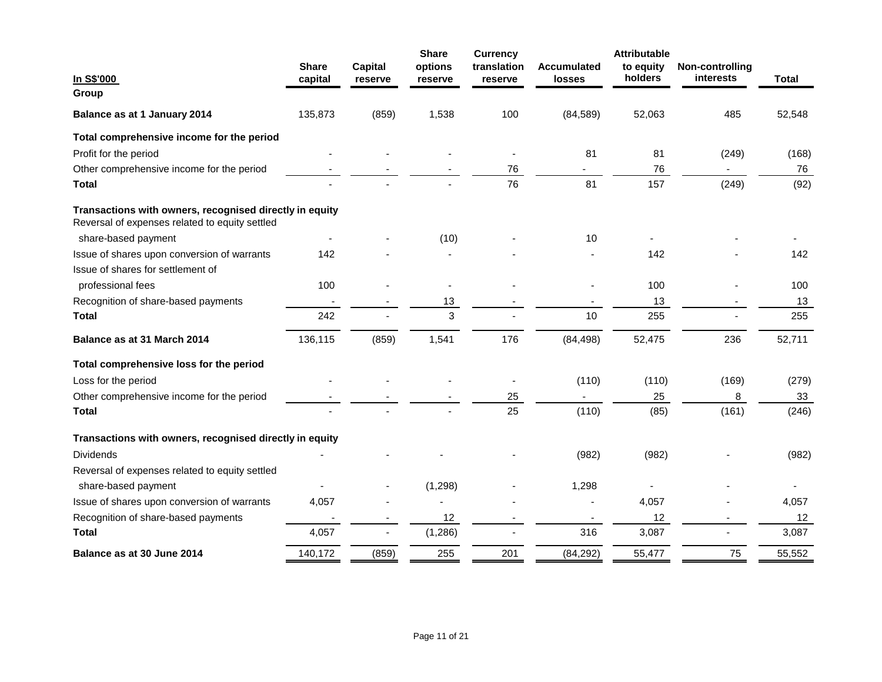| In S\$'000                                                                                                | <b>Share</b><br>capital | <b>Capital</b><br>reserve | <b>Share</b><br>options<br>reserve | <b>Currency</b><br>translation<br>reserve | <b>Accumulated</b><br><b>losses</b> | <b>Attributable</b><br>to equity<br>holders | Non-controlling<br>interests | <b>Total</b> |
|-----------------------------------------------------------------------------------------------------------|-------------------------|---------------------------|------------------------------------|-------------------------------------------|-------------------------------------|---------------------------------------------|------------------------------|--------------|
| Group                                                                                                     |                         |                           |                                    |                                           |                                     |                                             |                              |              |
| Balance as at 1 January 2014                                                                              | 135,873                 | (859)                     | 1,538                              | 100                                       | (84, 589)                           | 52,063                                      | 485                          | 52,548       |
| Total comprehensive income for the period                                                                 |                         |                           |                                    |                                           |                                     |                                             |                              |              |
| Profit for the period                                                                                     |                         |                           |                                    |                                           | 81                                  | 81                                          | (249)                        | (168)        |
| Other comprehensive income for the period                                                                 |                         |                           |                                    | 76                                        |                                     | 76                                          |                              | 76           |
| Total                                                                                                     |                         |                           |                                    | 76                                        | 81                                  | 157                                         | (249)                        | (92)         |
| Transactions with owners, recognised directly in equity<br>Reversal of expenses related to equity settled |                         |                           |                                    |                                           |                                     |                                             |                              |              |
| share-based payment                                                                                       |                         |                           | (10)                               |                                           | 10                                  |                                             |                              |              |
| Issue of shares upon conversion of warrants                                                               | 142                     |                           |                                    |                                           |                                     | 142                                         |                              | 142          |
| Issue of shares for settlement of                                                                         |                         |                           |                                    |                                           |                                     |                                             |                              |              |
| professional fees                                                                                         | 100                     |                           |                                    |                                           |                                     | 100                                         |                              | 100          |
| Recognition of share-based payments                                                                       |                         |                           | 13                                 |                                           |                                     | 13                                          |                              | 13           |
| <b>Total</b>                                                                                              | 242                     |                           | 3                                  |                                           | 10                                  | 255                                         |                              | 255          |
| Balance as at 31 March 2014                                                                               | 136,115                 | (859)                     | 1,541                              | 176                                       | (84, 498)                           | 52,475                                      | 236                          | 52,711       |
| Total comprehensive loss for the period                                                                   |                         |                           |                                    |                                           |                                     |                                             |                              |              |
| Loss for the period                                                                                       |                         |                           |                                    |                                           | (110)                               | (110)                                       | (169)                        | (279)        |
| Other comprehensive income for the period                                                                 |                         |                           |                                    | 25                                        |                                     | 25                                          | 8                            | 33           |
| <b>Total</b>                                                                                              |                         |                           |                                    | 25                                        | (110)                               | (85)                                        | (161)                        | (246)        |
| Transactions with owners, recognised directly in equity                                                   |                         |                           |                                    |                                           |                                     |                                             |                              |              |
| <b>Dividends</b>                                                                                          |                         |                           |                                    |                                           | (982)                               | (982)                                       |                              | (982)        |
| Reversal of expenses related to equity settled                                                            |                         |                           |                                    |                                           |                                     |                                             |                              |              |
| share-based payment                                                                                       |                         |                           | (1, 298)                           |                                           | 1,298                               |                                             |                              |              |
| Issue of shares upon conversion of warrants                                                               | 4,057                   |                           |                                    |                                           | $\overline{\phantom{a}}$            | 4,057                                       |                              | 4,057        |
| Recognition of share-based payments                                                                       |                         |                           | 12                                 |                                           |                                     | 12                                          |                              | 12           |
| <b>Total</b>                                                                                              | 4,057                   |                           | (1, 286)                           |                                           | 316                                 | 3,087                                       |                              | 3,087        |
| Balance as at 30 June 2014                                                                                | 140,172                 | (859)                     | 255                                | 201                                       | (84, 292)                           | 55,477                                      | 75                           | 55,552       |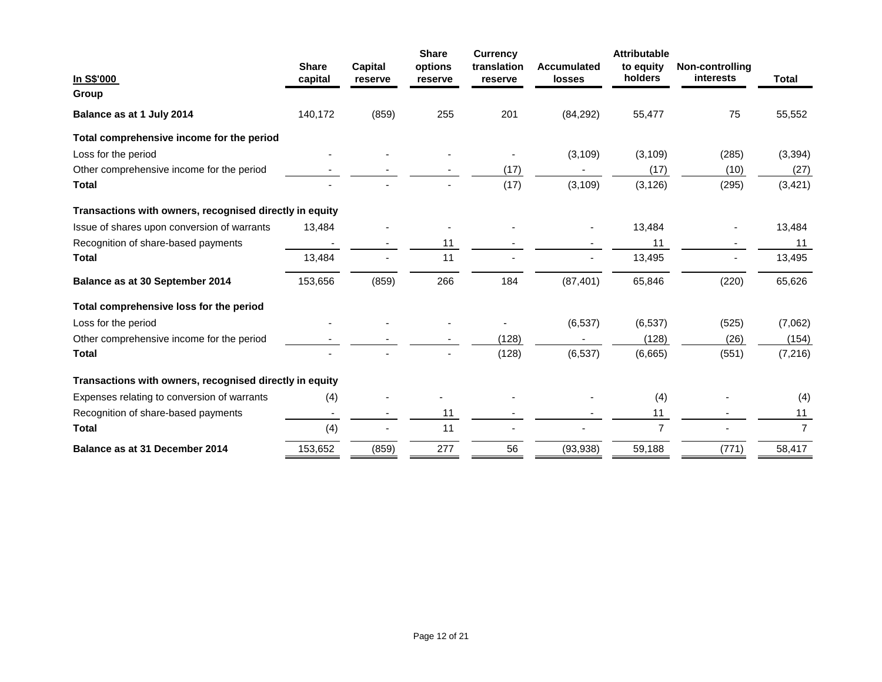|                                                         |                         |                           | <b>Share</b>       | <b>Currency</b>        |                              | <b>Attributable</b>  |                                     |                |
|---------------------------------------------------------|-------------------------|---------------------------|--------------------|------------------------|------------------------------|----------------------|-------------------------------------|----------------|
| In S\$'000                                              | <b>Share</b><br>capital | <b>Capital</b><br>reserve | options<br>reserve | translation<br>reserve | <b>Accumulated</b><br>losses | to equity<br>holders | Non-controlling<br><b>interests</b> | <b>Total</b>   |
| Group                                                   |                         |                           |                    |                        |                              |                      |                                     |                |
| Balance as at 1 July 2014                               | 140,172                 | (859)                     | 255                | 201                    | (84, 292)                    | 55,477               | 75                                  | 55,552         |
| Total comprehensive income for the period               |                         |                           |                    |                        |                              |                      |                                     |                |
| Loss for the period                                     |                         |                           |                    |                        | (3, 109)                     | (3, 109)             | (285)                               | (3, 394)       |
| Other comprehensive income for the period               |                         |                           |                    | (17)                   |                              | (17)                 | (10)                                | (27)           |
| <b>Total</b>                                            |                         |                           |                    | (17)                   | (3, 109)                     | (3, 126)             | (295)                               | (3, 421)       |
| Transactions with owners, recognised directly in equity |                         |                           |                    |                        |                              |                      |                                     |                |
| Issue of shares upon conversion of warrants             | 13,484                  |                           |                    |                        |                              | 13,484               |                                     | 13,484         |
| Recognition of share-based payments                     |                         |                           | 11                 |                        |                              | 11                   |                                     | 11             |
| <b>Total</b>                                            | 13,484                  |                           | 11                 |                        |                              | 13,495               |                                     | 13,495         |
| Balance as at 30 September 2014                         | 153,656                 | (859)                     | 266                | 184                    | (87, 401)                    | 65,846               | (220)                               | 65,626         |
| Total comprehensive loss for the period                 |                         |                           |                    |                        |                              |                      |                                     |                |
| Loss for the period                                     |                         |                           |                    |                        | (6, 537)                     | (6, 537)             | (525)                               | (7,062)        |
| Other comprehensive income for the period               |                         |                           |                    | (128)                  |                              | (128)                | (26)                                | (154)          |
| <b>Total</b>                                            |                         |                           |                    | (128)                  | (6, 537)                     | (6,665)              | (551)                               | (7, 216)       |
| Transactions with owners, recognised directly in equity |                         |                           |                    |                        |                              |                      |                                     |                |
| Expenses relating to conversion of warrants             | (4)                     |                           |                    |                        |                              | (4)                  |                                     | (4)            |
| Recognition of share-based payments                     |                         |                           | 11                 |                        |                              | 11                   |                                     | 11             |
| <b>Total</b>                                            | (4)                     |                           | 11                 |                        |                              | $\overline{7}$       |                                     | $\overline{7}$ |
| Balance as at 31 December 2014                          | 153,652                 | (859)                     | 277                | 56                     | (93, 938)                    | 59,188               | (771)                               | 58,417         |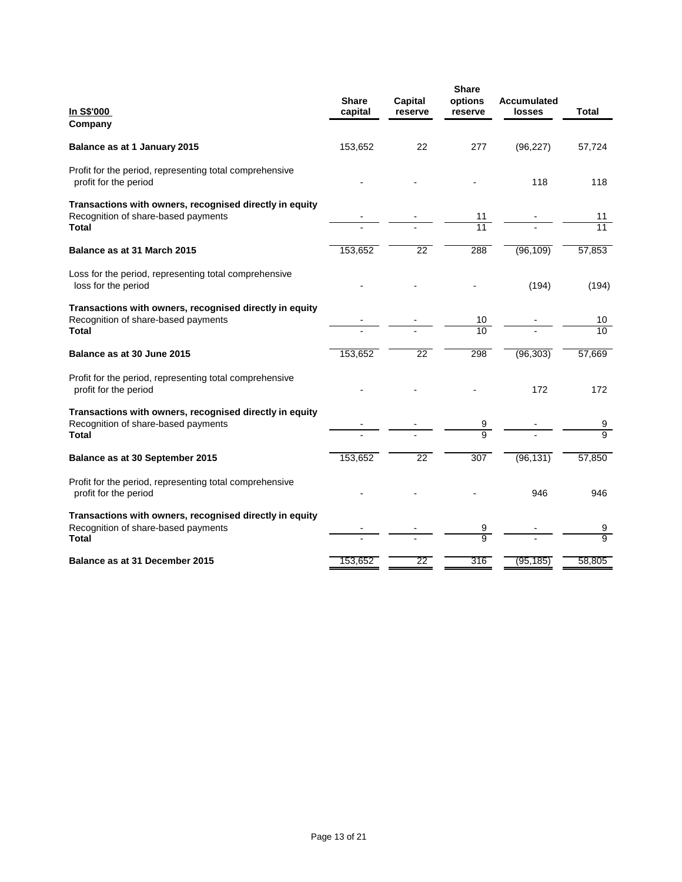| In S\$'000<br>Company                                                                                          | <b>Share</b><br>capital | <b>Capital</b><br>reserve | <b>Share</b><br>options<br>reserve | <b>Accumulated</b><br>losses | <b>Total</b>                     |
|----------------------------------------------------------------------------------------------------------------|-------------------------|---------------------------|------------------------------------|------------------------------|----------------------------------|
| Balance as at 1 January 2015                                                                                   | 153,652                 | 22                        | 277                                | (96, 227)                    | 57,724                           |
| Profit for the period, representing total comprehensive<br>profit for the period                               |                         |                           |                                    | 118                          | 118                              |
| Transactions with owners, recognised directly in equity<br>Recognition of share-based payments<br>Total        |                         |                           | 11<br>11                           |                              | 11<br>11                         |
| Balance as at 31 March 2015                                                                                    | 153,652                 | $\overline{22}$           | 288                                | (96, 109)                    | 57,853                           |
| Loss for the period, representing total comprehensive<br>loss for the period                                   |                         |                           |                                    | (194)                        | (194)                            |
| Transactions with owners, recognised directly in equity<br>Recognition of share-based payments<br>Total        |                         |                           | 10<br>10                           |                              | 10<br>10                         |
| Balance as at 30 June 2015                                                                                     | 153,652                 | 22                        | 298                                | (96, 303)                    | 57,669                           |
| Profit for the period, representing total comprehensive<br>profit for the period                               |                         |                           |                                    | 172                          | 172                              |
| Transactions with owners, recognised directly in equity<br>Recognition of share-based payments<br>Total        |                         |                           | 9<br>$\frac{1}{9}$                 |                              | $\frac{9}{9}$                    |
| Balance as at 30 September 2015                                                                                | 153,652                 | $\overline{22}$           | $\overline{307}$                   | (96, 131)                    | 57,850                           |
| Profit for the period, representing total comprehensive<br>profit for the period                               |                         |                           |                                    | 946                          | 946                              |
| Transactions with owners, recognised directly in equity<br>Recognition of share-based payments<br><b>Total</b> |                         |                           | 9<br>$\overline{9}$                |                              | $\overline{9}$<br>$\overline{9}$ |
| Balance as at 31 December 2015                                                                                 | 153,652                 | 22                        | 316                                | (95, 185)                    | 58,805                           |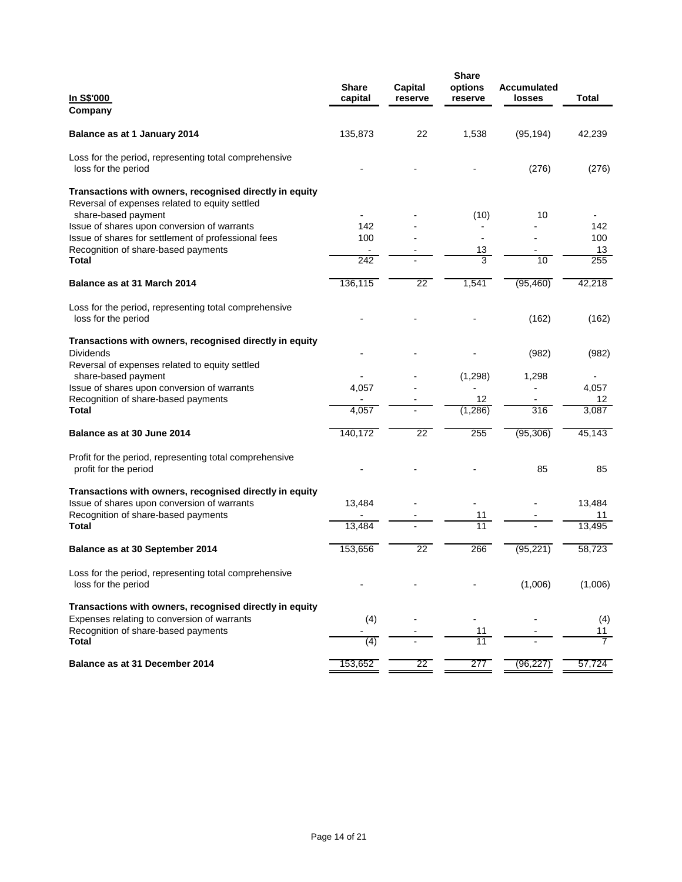| <u>In S\$'000</u><br>Company                                                                                                                  | <b>Share</b><br>capital | Capital<br>reserve | <b>Share</b><br>options<br>reserve | Accumulated<br>losses | <b>Total</b>                          |
|-----------------------------------------------------------------------------------------------------------------------------------------------|-------------------------|--------------------|------------------------------------|-----------------------|---------------------------------------|
| Balance as at 1 January 2014                                                                                                                  | 135,873                 | 22                 | 1,538                              | (95, 194)             | 42,239                                |
| Loss for the period, representing total comprehensive<br>loss for the period                                                                  |                         |                    |                                    | (276)                 | (276)                                 |
| Transactions with owners, recognised directly in equity<br>Reversal of expenses related to equity settled                                     |                         |                    |                                    |                       |                                       |
| share-based payment<br>Issue of shares upon conversion of warrants                                                                            | 142                     |                    | (10)                               | 10                    | 142                                   |
| Issue of shares for settlement of professional fees                                                                                           | 100                     |                    |                                    |                       | 100                                   |
| Recognition of share-based payments                                                                                                           | $\blacksquare$          |                    | 13                                 |                       | 13                                    |
| Total                                                                                                                                         | 242                     |                    | $\overline{3}$                     | 10                    | 255                                   |
| Balance as at 31 March 2014                                                                                                                   | 136,115                 | 22                 | 1,541                              | (95, 460)             | 42,218                                |
| Loss for the period, representing total comprehensive<br>loss for the period                                                                  |                         |                    |                                    | (162)                 | (162)                                 |
| Transactions with owners, recognised directly in equity<br><b>Dividends</b><br>Reversal of expenses related to equity settled                 |                         |                    |                                    | (982)                 | (982)                                 |
| share-based payment                                                                                                                           |                         |                    | (1,298)                            | 1,298                 |                                       |
| Issue of shares upon conversion of warrants                                                                                                   | 4,057                   |                    |                                    |                       | 4,057                                 |
| Recognition of share-based payments                                                                                                           |                         |                    | 12                                 |                       | 12                                    |
| <b>Total</b>                                                                                                                                  | 4,057                   |                    | (1, 286)                           | 316                   | 3,087                                 |
| Balance as at 30 June 2014                                                                                                                    | 140,172                 | $\overline{22}$    | 255                                | (95, 306)             | 45,143                                |
| Profit for the period, representing total comprehensive<br>profit for the period                                                              |                         |                    |                                    | 85                    | 85                                    |
| Transactions with owners, recognised directly in equity<br>Issue of shares upon conversion of warrants<br>Recognition of share-based payments | 13,484                  |                    | 11                                 |                       | 13,484<br>11                          |
| Total                                                                                                                                         | 13,484                  |                    | 11                                 |                       | 13,495                                |
| Balance as at 30 September 2014                                                                                                               | 153,656                 | $\overline{22}$    | 266                                | (95, 221)             | 58,723                                |
| Loss for the period, representing total comprehensive<br>loss for the period                                                                  |                         |                    |                                    | (1,006)               | (1,006)                               |
| Transactions with owners, recognised directly in equity<br>Expenses relating to conversion of warrants                                        | (4)                     |                    |                                    |                       | (4)                                   |
| Recognition of share-based payments<br>Total                                                                                                  | $\overline{a}$<br>(4)   |                    | 11<br>11                           |                       | <u>11</u><br>$\overline{\phantom{a}}$ |
|                                                                                                                                               |                         |                    |                                    |                       |                                       |
| Balance as at 31 December 2014                                                                                                                | 153,652                 | 22                 | 277                                | (96, 227)             | 57,724                                |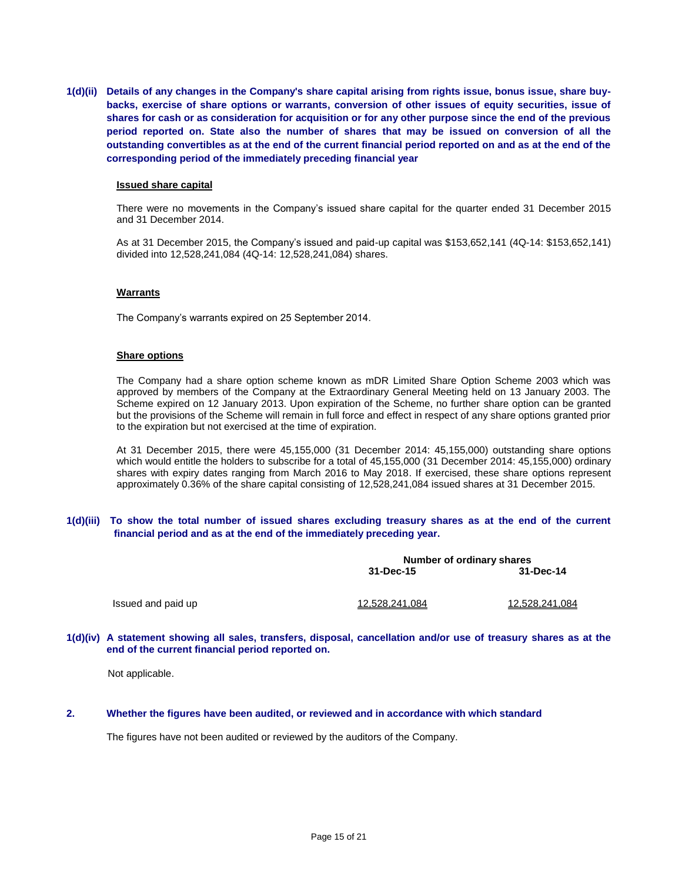**1(d)(ii) Details of any changes in the Company's share capital arising from rights issue, bonus issue, share buybacks, exercise of share options or warrants, conversion of other issues of equity securities, issue of shares for cash or as consideration for acquisition or for any other purpose since the end of the previous period reported on. State also the number of shares that may be issued on conversion of all the outstanding convertibles as at the end of the current financial period reported on and as at the end of the corresponding period of the immediately preceding financial year**

#### **Issued share capital**

There were no movements in the Company's issued share capital for the quarter ended 31 December 2015 and 31 December 2014.

As at 31 December 2015, the Company's issued and paid-up capital was \$153,652,141 (4Q-14: \$153,652,141) divided into 12,528,241,084 (4Q-14: 12,528,241,084) shares.

### **Warrants**

The Company's warrants expired on 25 September 2014.

### **Share options**

The Company had a share option scheme known as mDR Limited Share Option Scheme 2003 which was approved by members of the Company at the Extraordinary General Meeting held on 13 January 2003. The Scheme expired on 12 January 2013. Upon expiration of the Scheme, no further share option can be granted but the provisions of the Scheme will remain in full force and effect in respect of any share options granted prior to the expiration but not exercised at the time of expiration.

At 31 December 2015, there were 45,155,000 (31 December 2014: 45,155,000) outstanding share options which would entitle the holders to subscribe for a total of 45,155,000 (31 December 2014: 45,155,000) ordinary shares with expiry dates ranging from March 2016 to May 2018. If exercised, these share options represent approximately 0.36% of the share capital consisting of 12,528,241,084 issued shares at 31 December 2015.

### **1(d)(iii) To show the total number of issued shares excluding treasury shares as at the end of the current financial period and as at the end of the immediately preceding year.**

|                    |                | Number of ordinary shares |  |  |  |
|--------------------|----------------|---------------------------|--|--|--|
|                    | 31-Dec-15      | 31-Dec-14                 |  |  |  |
| Issued and paid up | 12,528,241,084 | 12,528,241,084            |  |  |  |
|                    |                |                           |  |  |  |

### **1(d)(iv) A statement showing all sales, transfers, disposal, cancellation and/or use of treasury shares as at the end of the current financial period reported on.**

Not applicable.

### **2. Whether the figures have been audited, or reviewed and in accordance with which standard**

The figures have not been audited or reviewed by the auditors of the Company.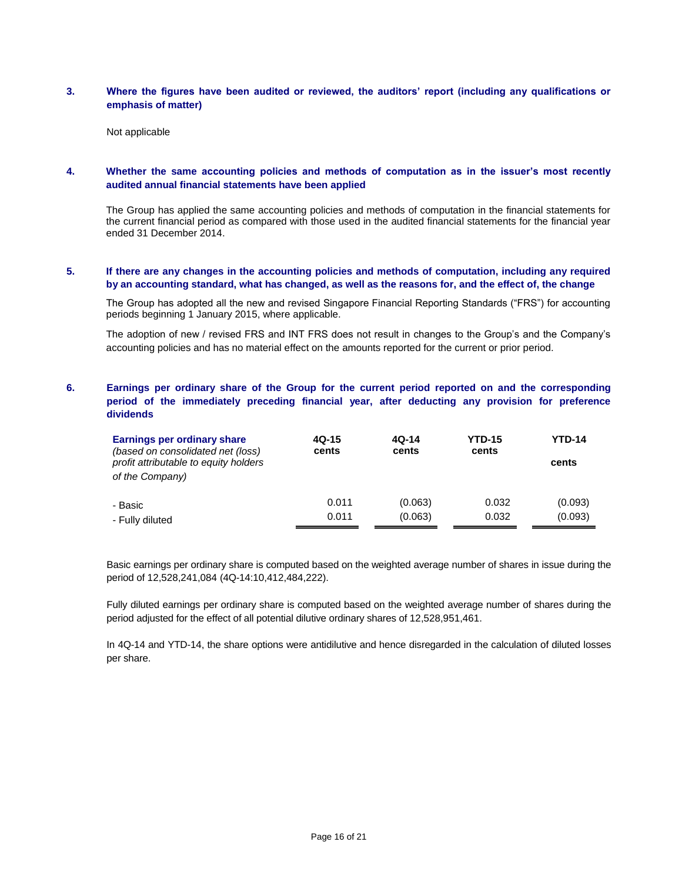# **3. Where the figures have been audited or reviewed, the auditors' report (including any qualifications or emphasis of matter)**

Not applicable

# **4. Whether the same accounting policies and methods of computation as in the issuer's most recently audited annual financial statements have been applied**

The Group has applied the same accounting policies and methods of computation in the financial statements for the current financial period as compared with those used in the audited financial statements for the financial year ended 31 December 2014.

# **5. If there are any changes in the accounting policies and methods of computation, including any required by an accounting standard, what has changed, as well as the reasons for, and the effect of, the change**

The Group has adopted all the new and revised Singapore Financial Reporting Standards ("FRS") for accounting periods beginning 1 January 2015, where applicable.

The adoption of new / revised FRS and INT FRS does not result in changes to the Group's and the Company's accounting policies and has no material effect on the amounts reported for the current or prior period.

# **6. Earnings per ordinary share of the Group for the current period reported on and the corresponding period of the immediately preceding financial year, after deducting any provision for preference dividends**

| Earnings per ordinary share<br>(based on consolidated net (loss)<br>profit attributable to equity holders<br>of the Company) | $4Q-15$<br>cents | $4Q-14$<br>cents | <b>YTD-15</b><br>cents | <b>YTD-14</b><br>cents |
|------------------------------------------------------------------------------------------------------------------------------|------------------|------------------|------------------------|------------------------|
| - Basic                                                                                                                      | 0.011            | (0.063)          | 0.032                  | (0.093)                |
| - Fully diluted                                                                                                              | 0.011            | (0.063)          | 0.032                  | (0.093)                |

Basic earnings per ordinary share is computed based on the weighted average number of shares in issue during the period of 12,528,241,084 (4Q-14:10,412,484,222).

Fully diluted earnings per ordinary share is computed based on the weighted average number of shares during the period adjusted for the effect of all potential dilutive ordinary shares of 12,528,951,461.

In 4Q-14 and YTD-14, the share options were antidilutive and hence disregarded in the calculation of diluted losses per share.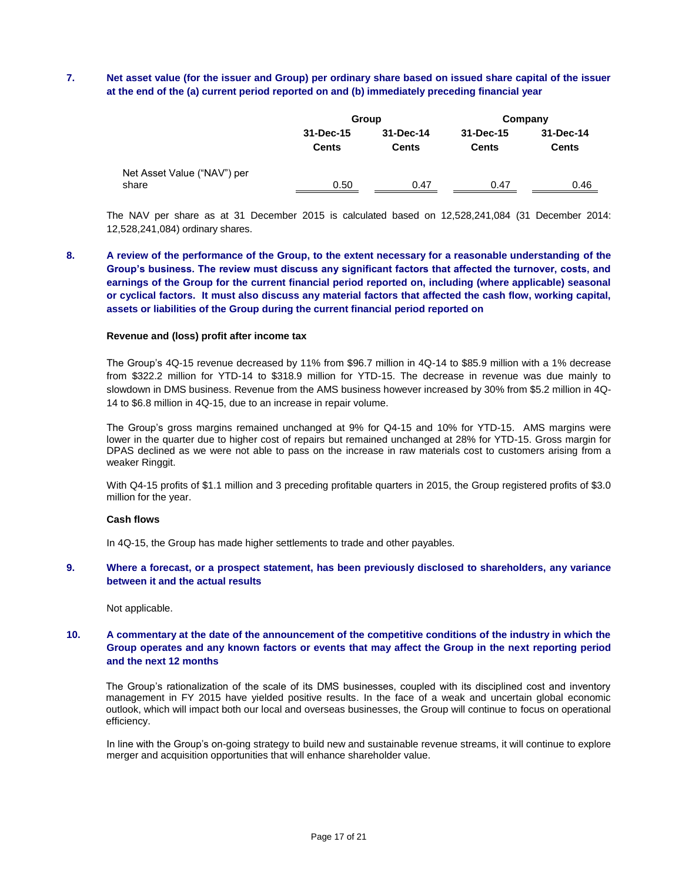# **7. Net asset value (for the issuer and Group) per ordinary share based on issued share capital of the issuer at the end of the (a) current period reported on and (b) immediately preceding financial year**

|                                      |                           | Group                     |                           | Company                   |
|--------------------------------------|---------------------------|---------------------------|---------------------------|---------------------------|
|                                      | 31-Dec-15<br><b>Cents</b> | 31-Dec-14<br><b>Cents</b> | 31-Dec-15<br><b>Cents</b> | 31-Dec-14<br><b>Cents</b> |
| Net Asset Value ("NAV") per<br>share | 0.50                      | 0.47                      | 0.47                      | 0.46                      |

The NAV per share as at 31 December 2015 is calculated based on 12,528,241,084 (31 December 2014: 12,528,241,084) ordinary shares.

**8. A review of the performance of the Group, to the extent necessary for a reasonable understanding of the Group's business. The review must discuss any significant factors that affected the turnover, costs, and earnings of the Group for the current financial period reported on, including (where applicable) seasonal or cyclical factors. It must also discuss any material factors that affected the cash flow, working capital, assets or liabilities of the Group during the current financial period reported on**

### **Revenue and (loss) profit after income tax**

The Group's 4Q-15 revenue decreased by 11% from \$96.7 million in 4Q-14 to \$85.9 million with a 1% decrease from \$322.2 million for YTD-14 to \$318.9 million for YTD-15. The decrease in revenue was due mainly to slowdown in DMS business. Revenue from the AMS business however increased by 30% from \$5.2 million in 4Q-14 to \$6.8 million in 4Q-15, due to an increase in repair volume.

The Group's gross margins remained unchanged at 9% for Q4-15 and 10% for YTD-15. AMS margins were lower in the quarter due to higher cost of repairs but remained unchanged at 28% for YTD-15. Gross margin for DPAS declined as we were not able to pass on the increase in raw materials cost to customers arising from a weaker Ringgit.

With Q4-15 profits of \$1.1 million and 3 preceding profitable quarters in 2015, the Group registered profits of \$3.0 million for the year.

#### **Cash flows**

In 4Q-15, the Group has made higher settlements to trade and other payables.

### **9. Where a forecast, or a prospect statement, has been previously disclosed to shareholders, any variance between it and the actual results**

Not applicable.

## **10. A commentary at the date of the announcement of the competitive conditions of the industry in which the Group operates and any known factors or events that may affect the Group in the next reporting period and the next 12 months**

The Group's rationalization of the scale of its DMS businesses, coupled with its disciplined cost and inventory management in FY 2015 have yielded positive results. In the face of a weak and uncertain global economic outlook, which will impact both our local and overseas businesses, the Group will continue to focus on operational efficiency.

In line with the Group's on-going strategy to build new and sustainable revenue streams, it will continue to explore merger and acquisition opportunities that will enhance shareholder value.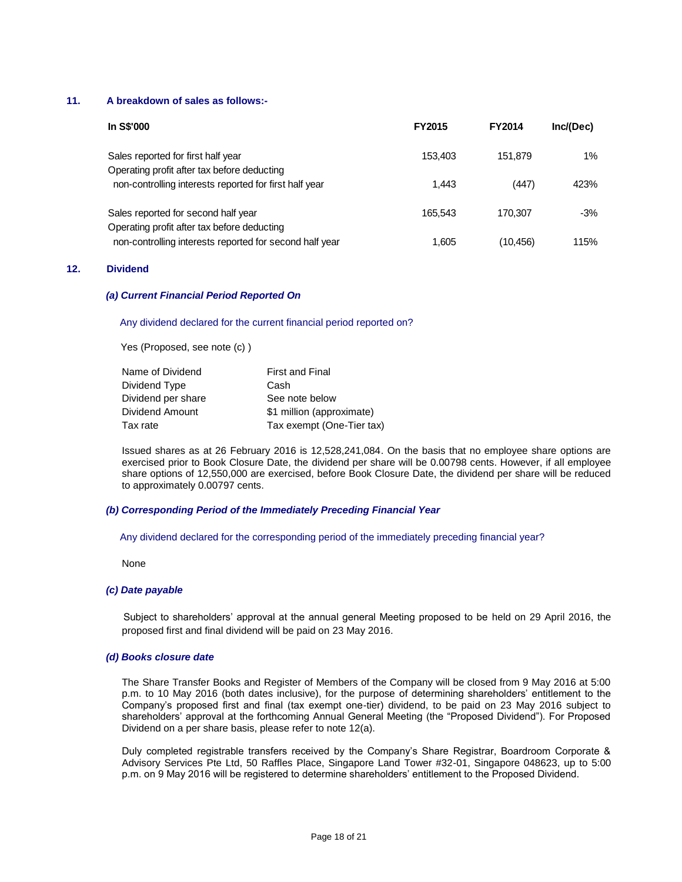## **11. A breakdown of sales as follows:-**

| In S\$'000                                                                         | <b>FY2015</b> | <b>FY2014</b> | Inc/(Dec) |
|------------------------------------------------------------------------------------|---------------|---------------|-----------|
| Sales reported for first half year<br>Operating profit after tax before deducting  | 153,403       | 151.879       | $1\%$     |
| non-controlling interests reported for first half year                             | 1.443         | (447)         | 423%      |
| Sales reported for second half year<br>Operating profit after tax before deducting | 165.543       | 170.307       | $-3%$     |
| non-controlling interests reported for second half year                            | 1,605         | (10,456)      | 115%      |

## **12. Dividend**

### *(a) Current Financial Period Reported On*

### Any dividend declared for the current financial period reported on?

Yes (Proposed, see note (c) )

| <b>First and Final</b>    |
|---------------------------|
| Cash                      |
| See note below            |
| \$1 million (approximate) |
| Tax exempt (One-Tier tax) |
|                           |

Issued shares as at 26 February 2016 is 12,528,241,084. On the basis that no employee share options are exercised prior to Book Closure Date, the dividend per share will be 0.00798 cents. However, if all employee share options of 12,550,000 are exercised, before Book Closure Date, the dividend per share will be reduced to approximately 0.00797 cents.

### *(b) Corresponding Period of the Immediately Preceding Financial Year*

Any dividend declared for the corresponding period of the immediately preceding financial year?

None

#### *(c) Date payable*

 Subject to shareholders' approval at the annual general Meeting proposed to be held on 29 April 2016, the proposed first and final dividend will be paid on 23 May 2016.

### *(d) Books closure date*

The Share Transfer Books and Register of Members of the Company will be closed from 9 May 2016 at 5:00 p.m. to 10 May 2016 (both dates inclusive), for the purpose of determining shareholders' entitlement to the Company's proposed first and final (tax exempt one-tier) dividend, to be paid on 23 May 2016 subject to shareholders' approval at the forthcoming Annual General Meeting (the "Proposed Dividend"). For Proposed Dividend on a per share basis, please refer to note 12(a).

Duly completed registrable transfers received by the Company's Share Registrar, Boardroom Corporate & Advisory Services Pte Ltd, 50 Raffles Place, Singapore Land Tower #32-01, Singapore 048623, up to 5:00 p.m. on 9 May 2016 will be registered to determine shareholders' entitlement to the Proposed Dividend.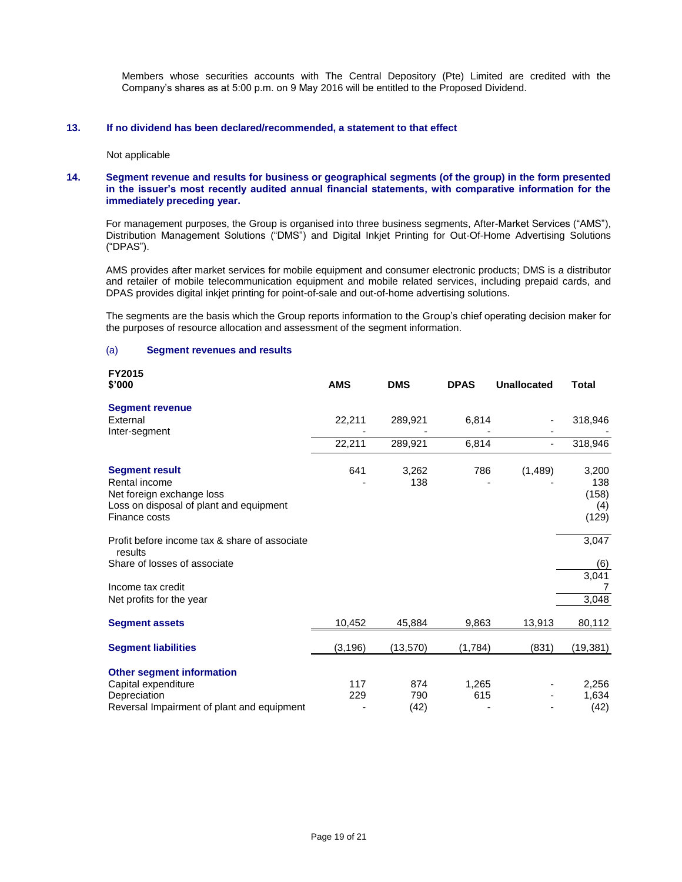Members whose securities accounts with The Central Depository (Pte) Limited are credited with the Company's shares as at 5:00 p.m. on 9 May 2016 will be entitled to the Proposed Dividend.

### **13. If no dividend has been declared/recommended, a statement to that effect**

Not applicable

### **14. Segment revenue and results for business or geographical segments (of the group) in the form presented in the issuer's most recently audited annual financial statements, with comparative information for the immediately preceding year.**

For management purposes, the Group is organised into three business segments, After-Market Services ("AMS"), Distribution Management Solutions ("DMS") and Digital Inkjet Printing for Out-Of-Home Advertising Solutions ("DPAS").

AMS provides after market services for mobile equipment and consumer electronic products; DMS is a distributor and retailer of mobile telecommunication equipment and mobile related services, including prepaid cards, and DPAS provides digital inkjet printing for point-of-sale and out-of-home advertising solutions.

The segments are the basis which the Group reports information to the Group's chief operating decision maker for the purposes of resource allocation and assessment of the segment information.

### (a) **Segment revenues and results**

| <b>FY2015</b><br>\$'000                                             | <b>AMS</b> | <b>DMS</b>   | <b>DPAS</b> | <b>Unallocated</b> | Total                 |
|---------------------------------------------------------------------|------------|--------------|-------------|--------------------|-----------------------|
| <b>Segment revenue</b>                                              |            |              |             |                    |                       |
| External                                                            | 22,211     | 289,921      | 6,814       |                    | 318,946               |
| Inter-segment                                                       |            |              |             |                    |                       |
|                                                                     | 22,211     | 289,921      | 6,814       |                    | 318,946               |
| <b>Segment result</b><br>Rental income<br>Net foreign exchange loss | 641        | 3,262<br>138 | 786         | (1,489)            | 3,200<br>138<br>(158) |
| Loss on disposal of plant and equipment<br>Finance costs            |            |              |             |                    | (4)<br>(129)          |
| Profit before income tax & share of associate<br>results            |            |              |             |                    | 3,047                 |
| Share of losses of associate                                        |            |              |             |                    | (6)<br>3,041          |
| Income tax credit<br>Net profits for the year                       |            |              |             |                    | 3,048                 |
| <b>Segment assets</b>                                               | 10,452     | 45,884       | 9,863       | 13,913             | 80,112                |
| <b>Segment liabilities</b>                                          | (3, 196)   | (13, 570)    | (1,784)     | (831)              | (19, 381)             |
| <b>Other segment information</b>                                    |            |              |             |                    |                       |
| Capital expenditure                                                 | 117        | 874          | 1,265       |                    | 2,256                 |
| Depreciation                                                        | 229        | 790          | 615         |                    | 1,634                 |
| Reversal Impairment of plant and equipment                          |            | (42)         |             |                    | (42)                  |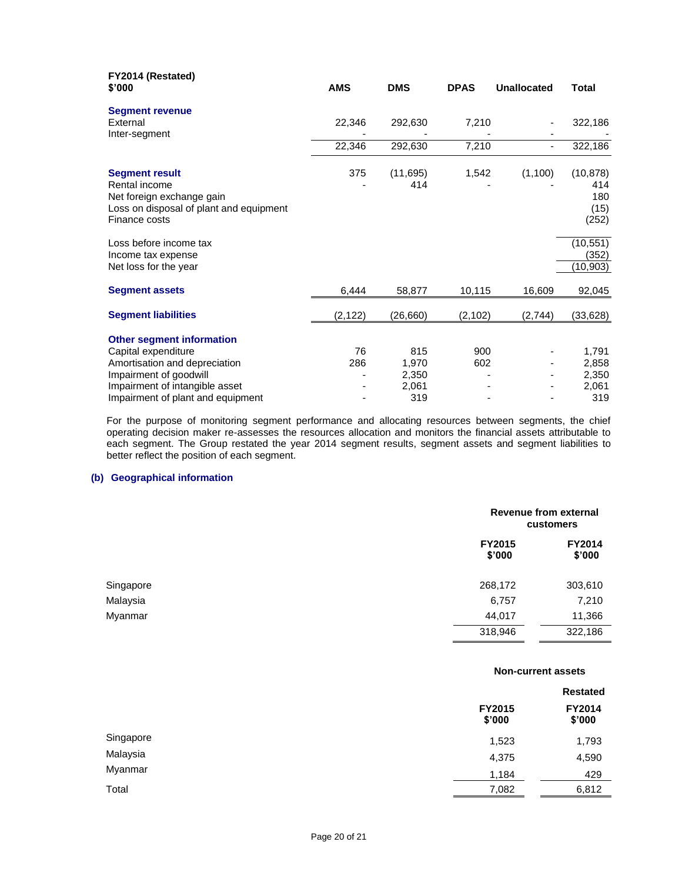| FY2014 (Restated)<br>\$'000                                                                                                                          | <b>AMS</b> | <b>DMS</b>                     | <b>DPAS</b> | <b>Unallocated</b> | <b>Total</b>                             |
|------------------------------------------------------------------------------------------------------------------------------------------------------|------------|--------------------------------|-------------|--------------------|------------------------------------------|
| <b>Segment revenue</b><br>External<br>Inter-segment                                                                                                  | 22,346     | 292,630                        | 7,210       |                    | 322,186                                  |
|                                                                                                                                                      | 22,346     | 292,630                        | 7,210       | $\blacksquare$     | 322,186                                  |
| <b>Segment result</b><br>Rental income<br>Net foreign exchange gain<br>Loss on disposal of plant and equipment<br>Finance costs                      | 375        | (11, 695)<br>414               | 1,542       | (1,100)            | (10, 878)<br>414<br>180<br>(15)<br>(252) |
| Loss before income tax<br>Income tax expense<br>Net loss for the year                                                                                |            |                                |             |                    | (10, 551)<br>(352)<br>(10, 903)          |
| <b>Segment assets</b>                                                                                                                                | 6,444      | 58,877                         | 10,115      | 16,609             | 92,045                                   |
| <b>Segment liabilities</b>                                                                                                                           | (2, 122)   | (26,660)                       | (2, 102)    | (2,744)            | (33, 628)                                |
| <b>Other segment information</b><br>Capital expenditure<br>Amortisation and depreciation<br>Impairment of goodwill<br>Impairment of intangible asset | 76<br>286  | 815<br>1,970<br>2,350<br>2,061 | 900<br>602  |                    | 1,791<br>2,858<br>2,350<br>2,061         |
| Impairment of plant and equipment                                                                                                                    |            | 319                            |             |                    | 319                                      |

For the purpose of monitoring segment performance and allocating resources between segments, the chief operating decision maker re-assesses the resources allocation and monitors the financial assets attributable to each segment. The Group restated the year 2014 segment results, segment assets and segment liabilities to better reflect the position of each segment.

# **(b) Geographical information**

|           |                         | Revenue from external<br>customers |  |  |
|-----------|-------------------------|------------------------------------|--|--|
|           | <b>FY2015</b><br>\$'000 | <b>FY2014</b><br>\$'000            |  |  |
| Singapore | 268,172                 | 303,610                            |  |  |
| Malaysia  | 6,757                   | 7,210                              |  |  |
| Myanmar   | 44,017                  | 11,366                             |  |  |
|           | 318,946                 | 322,186                            |  |  |

| <b>Non-current assets</b> |  |
|---------------------------|--|
|---------------------------|--|

|           |                  | <b>Restated</b>         |  |
|-----------|------------------|-------------------------|--|
|           | FY2015<br>\$'000 | <b>FY2014</b><br>\$'000 |  |
| Singapore | 1,523            | 1,793                   |  |
| Malaysia  | 4,375            | 4,590                   |  |
| Myanmar   | 1,184            | 429                     |  |
| Total     | 7,082            | 6,812                   |  |